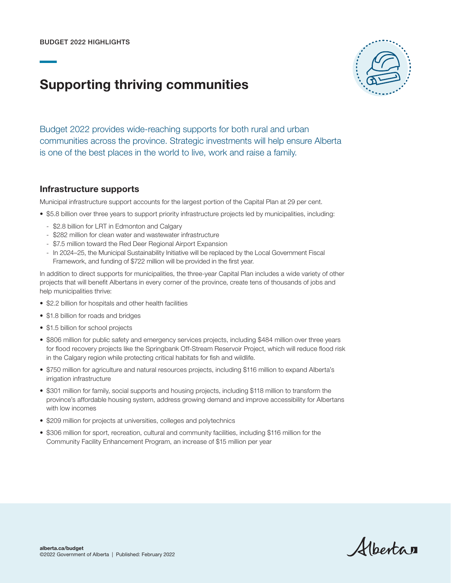# Supporting thriving communities



Budget 2022 provides wide-reaching supports for both rural and urban communities across the province. Strategic investments will help ensure Alberta is one of the best places in the world to live, work and raise a family.

#### Infrastructure supports

Municipal infrastructure support accounts for the largest portion of the Capital Plan at 29 per cent.

- \$5.8 billion over three years to support priority infrastructure projects led by municipalities, including:
	- \$2.8 billion for LRT in Edmonton and Calgary
	- \$282 million for clean water and wastewater infrastructure
	- \$7.5 million toward the Red Deer Regional Airport Expansion
	- In 2024–25, the Municipal Sustainability Initiative will be replaced by the Local Government Fiscal Framework, and funding of \$722 million will be provided in the first year.

In addition to direct supports for municipalities, the three-year Capital Plan includes a wide variety of other projects that will benefit Albertans in every corner of the province, create tens of thousands of jobs and help municipalities thrive:

- \$2.2 billion for hospitals and other health facilities
- \$1.8 billion for roads and bridges
- \$1.5 billion for school projects
- \$806 million for public safety and emergency services projects, including \$484 million over three years for flood recovery projects like the Springbank Off-Stream Reservoir Project, which will reduce flood risk in the Calgary region while protecting critical habitats for fish and wildlife.
- \$750 million for agriculture and natural resources projects, including \$116 million to expand Alberta's irrigation infrastructure
- \$301 million for family, social supports and housing projects, including \$118 million to transform the province's affordable housing system, address growing demand and improve accessibility for Albertans with low incomes
- \$209 million for projects at universities, colleges and polytechnics
- \$306 million for sport, recreation, cultural and community facilities, including \$116 million for the Community Facility Enhancement Program, an increase of \$15 million per year